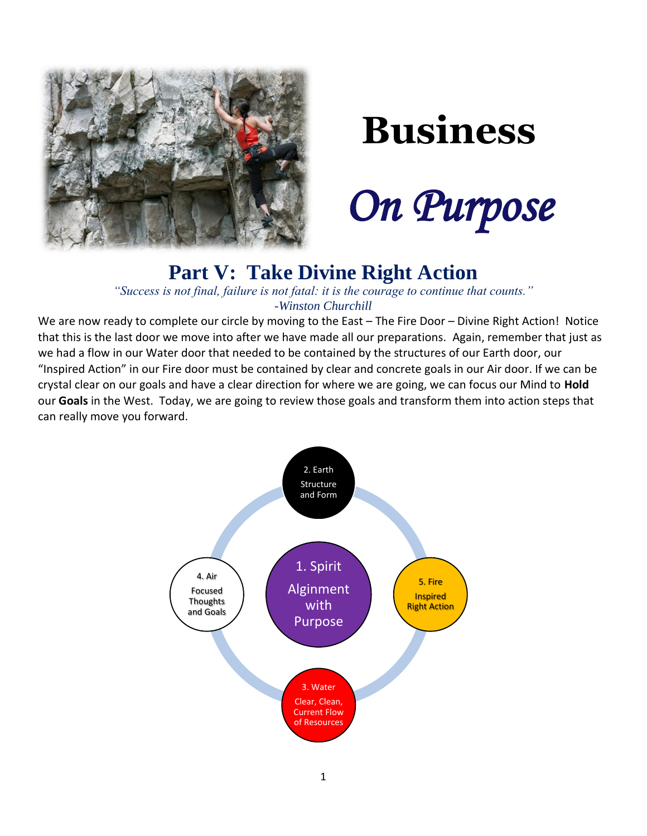

# **Business**

 *On Purpose*

## **Part V: Take Divine Right Action**

*"Success is not final, failure is not fatal: it is the courage to continue that counts." -Winston Churchill*

We are now ready to complete our circle by moving to the East – The Fire Door – Divine Right Action! Notice that this is the last door we move into after we have made all our preparations. Again, remember that just as we had a flow in our Water door that needed to be contained by the structures of our Earth door, our "Inspired Action" in our Fire door must be contained by clear and concrete goals in our Air door. If we can be crystal clear on our goals and have a clear direction for where we are going, we can focus our Mind to **Hold** our **Goals** in the West. Today, we are going to review those goals and transform them into action steps that can really move you forward.

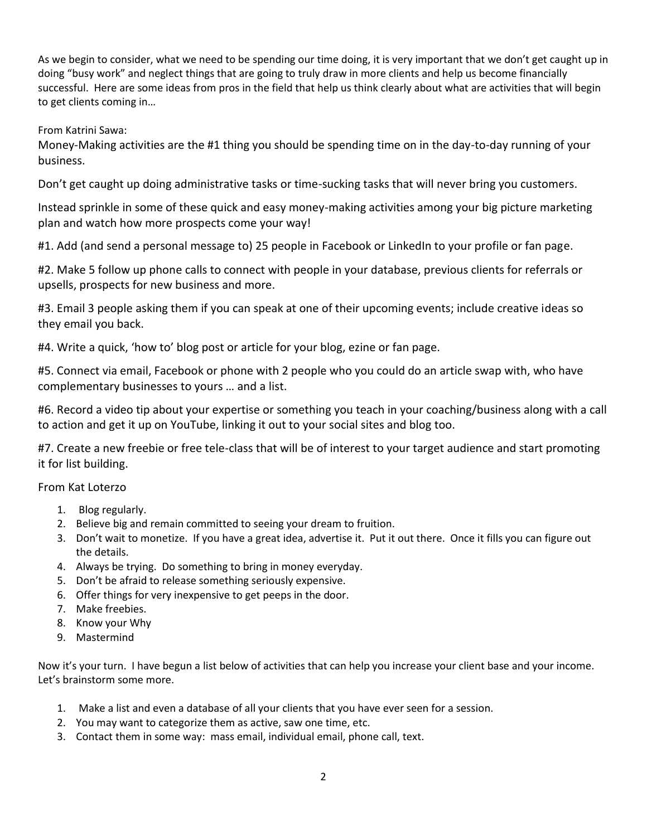As we begin to consider, what we need to be spending our time doing, it is very important that we don't get caught up in doing "busy work" and neglect things that are going to truly draw in more clients and help us become financially successful. Here are some ideas from pros in the field that help us think clearly about what are activities that will begin to get clients coming in…

From Katrini Sawa:

Money-Making activities are the #1 thing you should be spending time on in the day-to-day running of your business.

Don't get caught up doing administrative tasks or time-sucking tasks that will never bring you customers.

Instead sprinkle in some of these quick and easy money-making activities among your big picture marketing plan and watch how more prospects come your way!

#1. Add (and send a personal message to) 25 people in Facebook or LinkedIn to your profile or fan page.

#2. Make 5 follow up phone calls to connect with people in your database, previous clients for referrals or upsells, prospects for new business and more.

#3. Email 3 people asking them if you can speak at one of their upcoming events; include creative ideas so they email you back.

#4. Write a quick, 'how to' blog post or article for your blog, ezine or fan page.

#5. Connect via email, Facebook or phone with 2 people who you could do an article swap with, who have complementary businesses to yours … and a list.

#6. Record a video tip about your expertise or something you teach in your coaching/business along with a call to action and get it up on YouTube, linking it out to your social sites and blog too.

#7. Create a new freebie or free tele-class that will be of interest to your target audience and start promoting it for list building.

### From Kat Loterzo

- 1. Blog regularly.
- 2. Believe big and remain committed to seeing your dream to fruition.
- 3. Don't wait to monetize. If you have a great idea, advertise it. Put it out there. Once it fills you can figure out the details.
- 4. Always be trying. Do something to bring in money everyday.
- 5. Don't be afraid to release something seriously expensive.
- 6. Offer things for very inexpensive to get peeps in the door.
- 7. Make freebies.
- 8. Know your Why
- 9. Mastermind

Now it's your turn. I have begun a list below of activities that can help you increase your client base and your income. Let's brainstorm some more.

- 1. Make a list and even a database of all your clients that you have ever seen for a session.
- 2. You may want to categorize them as active, saw one time, etc.
- 3. Contact them in some way: mass email, individual email, phone call, text.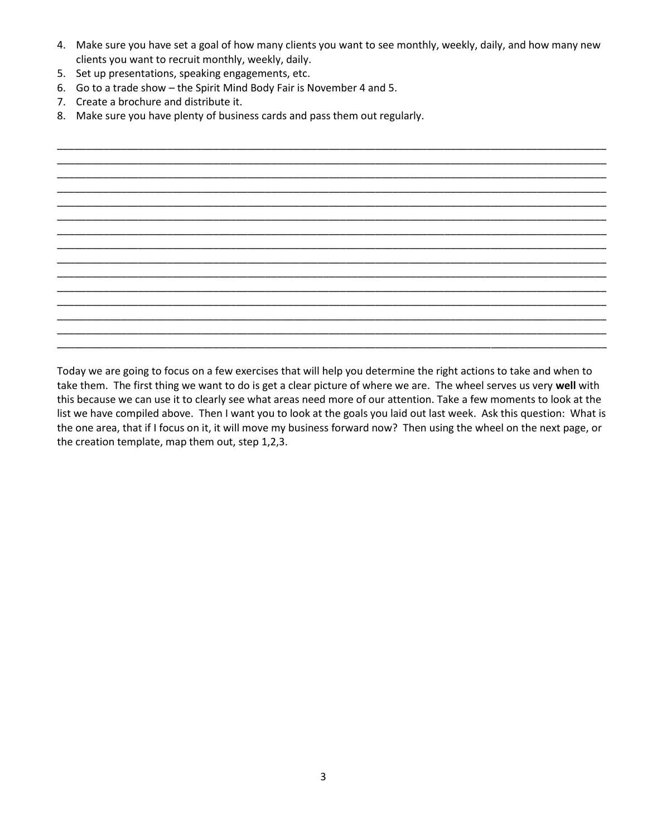4. Make sure you have set a goal of how many clients you want to see monthly, weekly, daily, and how many new clients you want to recruit monthly, weekly, daily.

\_\_\_\_\_\_\_\_\_\_\_\_\_\_\_\_\_\_\_\_\_\_\_\_\_\_\_\_\_\_\_\_\_\_\_\_\_\_\_\_\_\_\_\_\_\_\_\_\_\_\_\_\_\_\_\_\_\_\_\_\_\_\_\_\_\_\_\_\_\_\_\_\_\_\_\_\_\_\_\_\_\_\_\_\_\_\_\_\_\_\_\_\_\_\_

- 5. Set up presentations, speaking engagements, etc.
- 6. Go to a trade show the Spirit Mind Body Fair is November 4 and 5.
- 7. Create a brochure and distribute it.
- 8. Make sure you have plenty of business cards and pass them out regularly.

\_\_\_\_\_\_\_\_\_\_\_\_\_\_\_\_\_\_\_\_\_\_\_\_\_\_\_\_\_\_\_\_\_\_\_\_\_\_\_\_\_\_\_\_\_\_\_\_\_\_\_\_\_\_\_\_\_\_\_\_\_\_\_\_\_\_\_\_\_\_\_\_\_\_\_\_\_\_\_\_\_\_\_\_\_\_\_\_\_\_\_\_\_\_\_ \_\_\_\_\_\_\_\_\_\_\_\_\_\_\_\_\_\_\_\_\_\_\_\_\_\_\_\_\_\_\_\_\_\_\_\_\_\_\_\_\_\_\_\_\_\_\_\_\_\_\_\_\_\_\_\_\_\_\_\_\_\_\_\_\_\_\_\_\_\_\_\_\_\_\_\_\_\_\_\_\_\_\_\_\_\_\_\_\_\_\_\_\_\_\_ \_\_\_\_\_\_\_\_\_\_\_\_\_\_\_\_\_\_\_\_\_\_\_\_\_\_\_\_\_\_\_\_\_\_\_\_\_\_\_\_\_\_\_\_\_\_\_\_\_\_\_\_\_\_\_\_\_\_\_\_\_\_\_\_\_\_\_\_\_\_\_\_\_\_\_\_\_\_\_\_\_\_\_\_\_\_\_\_\_\_\_\_\_\_\_ \_\_\_\_\_\_\_\_\_\_\_\_\_\_\_\_\_\_\_\_\_\_\_\_\_\_\_\_\_\_\_\_\_\_\_\_\_\_\_\_\_\_\_\_\_\_\_\_\_\_\_\_\_\_\_\_\_\_\_\_\_\_\_\_\_\_\_\_\_\_\_\_\_\_\_\_\_\_\_\_\_\_\_\_\_\_\_\_\_\_\_\_\_\_\_ \_\_\_\_\_\_\_\_\_\_\_\_\_\_\_\_\_\_\_\_\_\_\_\_\_\_\_\_\_\_\_\_\_\_\_\_\_\_\_\_\_\_\_\_\_\_\_\_\_\_\_\_\_\_\_\_\_\_\_\_\_\_\_\_\_\_\_\_\_\_\_\_\_\_\_\_\_\_\_\_\_\_\_\_\_\_\_\_\_\_\_\_\_\_\_ \_\_\_\_\_\_\_\_\_\_\_\_\_\_\_\_\_\_\_\_\_\_\_\_\_\_\_\_\_\_\_\_\_\_\_\_\_\_\_\_\_\_\_\_\_\_\_\_\_\_\_\_\_\_\_\_\_\_\_\_\_\_\_\_\_\_\_\_\_\_\_\_\_\_\_\_\_\_\_\_\_\_\_\_\_\_\_\_\_\_\_\_\_\_\_ \_\_\_\_\_\_\_\_\_\_\_\_\_\_\_\_\_\_\_\_\_\_\_\_\_\_\_\_\_\_\_\_\_\_\_\_\_\_\_\_\_\_\_\_\_\_\_\_\_\_\_\_\_\_\_\_\_\_\_\_\_\_\_\_\_\_\_\_\_\_\_\_\_\_\_\_\_\_\_\_\_\_\_\_\_\_\_\_\_\_\_\_\_\_\_ \_\_\_\_\_\_\_\_\_\_\_\_\_\_\_\_\_\_\_\_\_\_\_\_\_\_\_\_\_\_\_\_\_\_\_\_\_\_\_\_\_\_\_\_\_\_\_\_\_\_\_\_\_\_\_\_\_\_\_\_\_\_\_\_\_\_\_\_\_\_\_\_\_\_\_\_\_\_\_\_\_\_\_\_\_\_\_\_\_\_\_\_\_\_\_ \_\_\_\_\_\_\_\_\_\_\_\_\_\_\_\_\_\_\_\_\_\_\_\_\_\_\_\_\_\_\_\_\_\_\_\_\_\_\_\_\_\_\_\_\_\_\_\_\_\_\_\_\_\_\_\_\_\_\_\_\_\_\_\_\_\_\_\_\_\_\_\_\_\_\_\_\_\_\_\_\_\_\_\_\_\_\_\_\_\_\_\_\_\_\_ \_\_\_\_\_\_\_\_\_\_\_\_\_\_\_\_\_\_\_\_\_\_\_\_\_\_\_\_\_\_\_\_\_\_\_\_\_\_\_\_\_\_\_\_\_\_\_\_\_\_\_\_\_\_\_\_\_\_\_\_\_\_\_\_\_\_\_\_\_\_\_\_\_\_\_\_\_\_\_\_\_\_\_\_\_\_\_\_\_\_\_\_\_\_\_ \_\_\_\_\_\_\_\_\_\_\_\_\_\_\_\_\_\_\_\_\_\_\_\_\_\_\_\_\_\_\_\_\_\_\_\_\_\_\_\_\_\_\_\_\_\_\_\_\_\_\_\_\_\_\_\_\_\_\_\_\_\_\_\_\_\_\_\_\_\_\_\_\_\_\_\_\_\_\_\_\_\_\_\_\_\_\_\_\_\_\_\_\_\_\_ \_\_\_\_\_\_\_\_\_\_\_\_\_\_\_\_\_\_\_\_\_\_\_\_\_\_\_\_\_\_\_\_\_\_\_\_\_\_\_\_\_\_\_\_\_\_\_\_\_\_\_\_\_\_\_\_\_\_\_\_\_\_\_\_\_\_\_\_\_\_\_\_\_\_\_\_\_\_\_\_\_\_\_\_\_\_\_\_\_\_\_\_\_\_\_ \_\_\_\_\_\_\_\_\_\_\_\_\_\_\_\_\_\_\_\_\_\_\_\_\_\_\_\_\_\_\_\_\_\_\_\_\_\_\_\_\_\_\_\_\_\_\_\_\_\_\_\_\_\_\_\_\_\_\_\_\_\_\_\_\_\_\_\_\_\_\_\_\_\_\_\_\_\_\_\_\_\_\_\_\_\_\_\_\_\_\_\_\_\_\_ \_\_\_\_\_\_\_\_\_\_\_\_\_\_\_\_\_\_\_\_\_\_\_\_\_\_\_\_\_\_\_\_\_\_\_\_\_\_\_\_\_\_\_\_\_\_\_\_\_\_\_\_\_\_\_\_\_\_\_\_\_\_\_\_\_\_\_\_\_\_\_\_\_\_\_\_\_\_\_\_\_\_\_\_\_\_\_\_\_\_\_\_\_\_\_

Today we are going to focus on a few exercises that will help you determine the right actions to take and when to take them. The first thing we want to do is get a clear picture of where we are. The wheel serves us very **well** with this because we can use it to clearly see what areas need more of our attention. Take a few moments to look at the list we have compiled above. Then I want you to look at the goals you laid out last week. Ask this question: What is the one area, that if I focus on it, it will move my business forward now? Then using the wheel on the next page, or the creation template, map them out, step 1,2,3.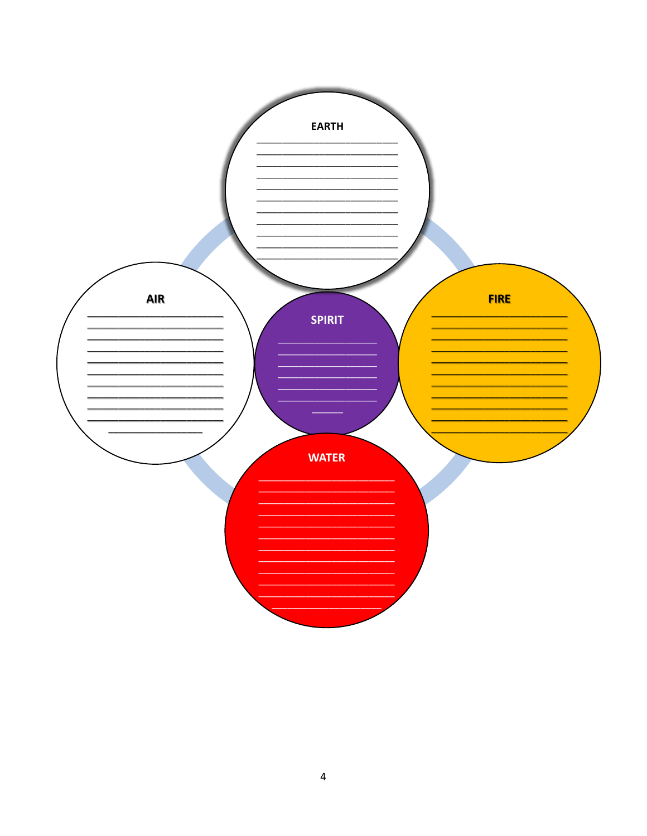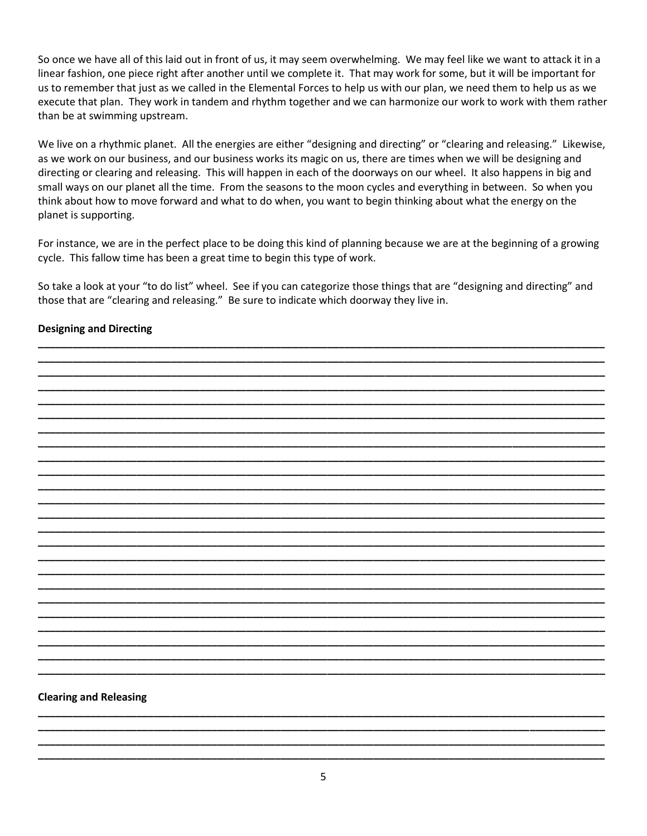So once we have all of this laid out in front of us, it may seem overwhelming. We may feel like we want to attack it in a linear fashion, one piece right after another until we complete it. That may work for some, but it will be important for us to remember that just as we called in the Elemental Forces to help us with our plan, we need them to help us as we execute that plan. They work in tandem and rhythm together and we can harmonize our work to work with them rather than be at swimming upstream.

We live on a rhythmic planet. All the energies are either "designing and directing" or "clearing and releasing." Likewise, as we work on our business, and our business works its magic on us, there are times when we will be designing and directing or clearing and releasing. This will happen in each of the doorways on our wheel. It also happens in big and small ways on our planet all the time. From the seasons to the moon cycles and everything in between. So when you think about how to move forward and what to do when, you want to begin thinking about what the energy on the planet is supporting.

For instance, we are in the perfect place to be doing this kind of planning because we are at the beginning of a growing cycle. This fallow time has been a great time to begin this type of work.

So take a look at your "to do list" wheel. See if you can categorize those things that are "designing and directing" and those that are "clearing and releasing." Be sure to indicate which doorway they live in.

#### **Designing and Directing**



#### **Clearing and Releasing**

**\_\_\_\_\_\_\_\_\_\_\_\_\_\_\_\_\_\_\_\_\_\_\_\_\_\_\_\_\_\_\_\_\_\_\_\_\_\_\_\_\_\_\_\_\_\_\_\_\_\_\_\_\_\_\_\_\_\_\_\_\_\_\_\_\_\_\_\_\_\_\_\_\_\_\_\_\_\_\_\_\_\_\_\_\_\_\_\_\_\_\_\_\_\_\_\_\_\_ \_\_\_\_\_\_\_\_\_\_\_\_\_\_\_\_\_\_\_\_\_\_\_\_\_\_\_\_\_\_\_\_\_\_\_\_\_\_\_\_\_\_\_\_\_\_\_\_\_\_\_\_\_\_\_\_\_\_\_\_\_\_\_\_\_\_\_\_\_\_\_\_\_\_\_\_\_\_\_\_\_\_\_\_\_\_\_\_\_\_\_\_\_\_\_\_\_\_ \_\_\_\_\_\_\_\_\_\_\_\_\_\_\_\_\_\_\_\_\_\_\_\_\_\_\_\_\_\_\_\_\_\_\_\_\_\_\_\_\_\_\_\_\_\_\_\_\_\_\_\_\_\_\_\_\_\_\_\_\_\_\_\_\_\_\_\_\_\_\_\_\_\_\_\_\_\_\_\_\_\_\_\_\_\_\_\_\_\_\_\_\_\_\_\_\_\_ \_\_\_\_\_\_\_\_\_\_\_\_\_\_\_\_\_\_\_\_\_\_\_\_\_\_\_\_\_\_\_\_\_\_\_\_\_\_\_\_\_\_\_\_\_\_\_\_\_\_\_\_\_\_\_\_\_\_\_\_\_\_\_\_\_\_\_\_\_\_\_\_\_\_\_\_\_\_\_\_\_\_\_\_\_\_\_\_\_\_\_\_\_\_\_\_\_\_**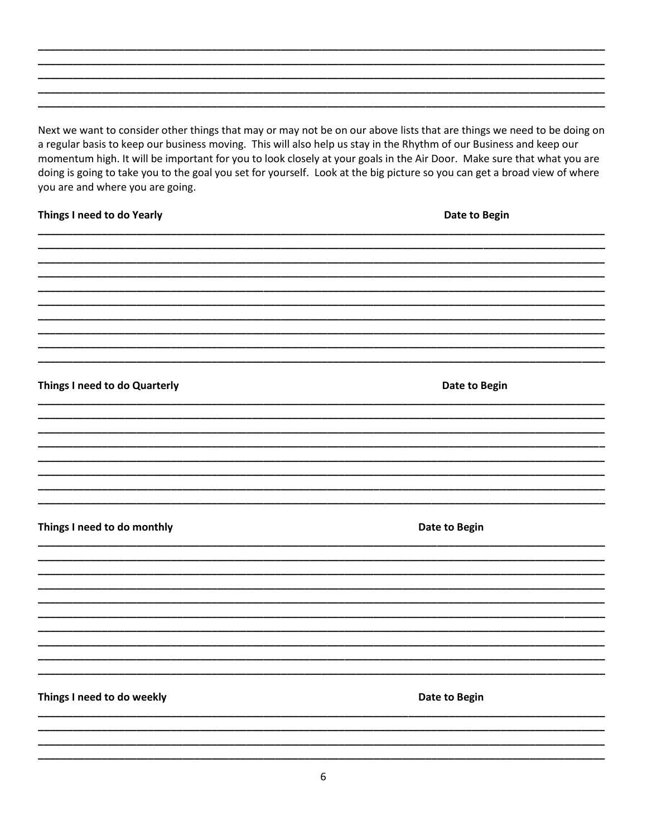Next we want to consider other things that may or may not be on our above lists that are things we need to be doing on a regular basis to keep our business moving. This will also help us stay in the Rhythm of our Business and keep our momentum high. It will be important for you to look closely at your goals in the Air Door. Make sure that what you are doing is going to take you to the goal you set for yourself. Look at the big picture so you can get a broad view of where you are and where you are going.

#### Things I need to do Yearly

Date to Begin

Date to Begin

Things I need to do Quarterly

Things I need to do monthly

Date to Begin

Things I need to do weekly

Date to Begin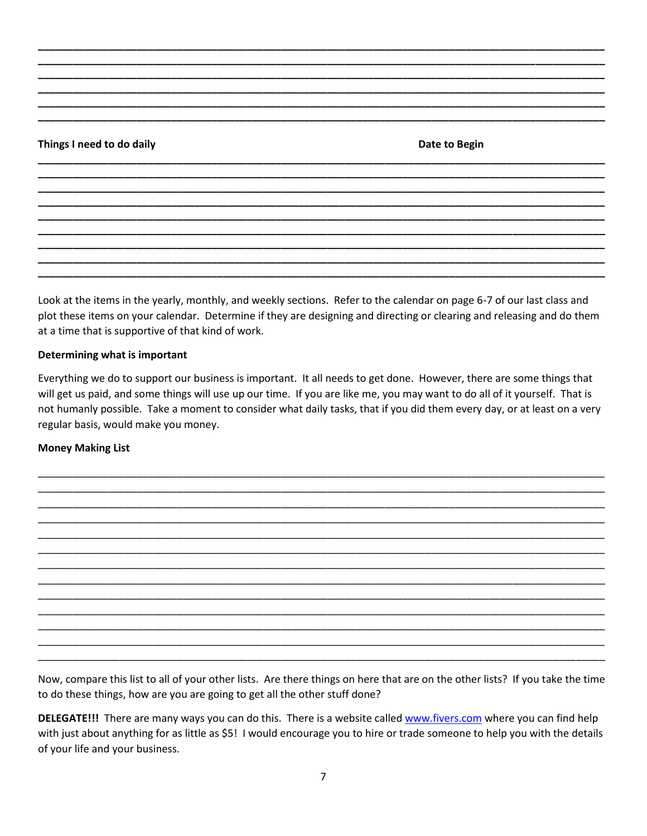#### Things I need to do daily

Date to Begin

Look at the items in the yearly, monthly, and weekly sections. Refer to the calendar on page 6-7 of our last class and plot these items on your calendar. Determine if they are designing and directing or clearing and releasing and do them at a time that is supportive of that kind of work.

#### Determining what is important

Everything we do to support our business is important. It all needs to get done. However, there are some things that will get us paid, and some things will use up our time. If you are like me, you may want to do all of it yourself. That is not humanly possible. Take a moment to consider what daily tasks, that if you did them every day, or at least on a very regular basis, would make you money.

#### **Money Making List**

Now, compare this list to all of your other lists. Are there things on here that are on the other lists? If you take the time to do these things, how are you are going to get all the other stuff done?

DELEGATE!!! There are many ways you can do this. There is a website called www.fivers.com where you can find help with just about anything for as little as \$5! I would encourage you to hire or trade someone to help you with the details of your life and your business.